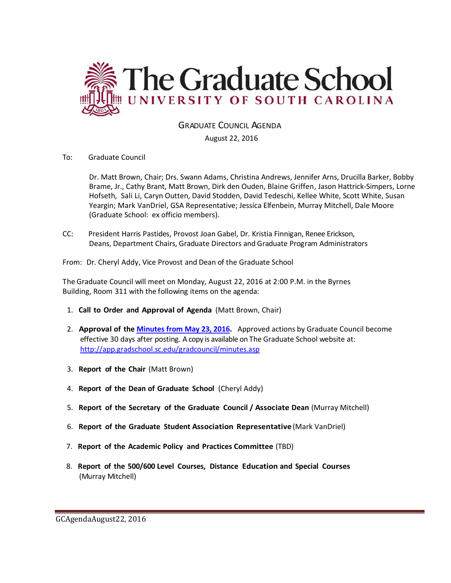

# GRADUATE COUNCIL AGENDA

August 22, 2016

To: Graduate Council

Dr. Matt Brown, Chair; Drs. Swann Adams, Christina Andrews, Jennifer Arns, Drucilla Barker, Bobby Brame, Jr., Cathy Brant, Matt Brown, Dirk den Ouden, Blaine Griffen, Jason Hattrick-Simpers, Lorne Hofseth, Sali Li, Caryn Outten, David Stodden, David Tedeschi, Kellee White, Scott White, Susan Yeargin; Mark VanDriel, GSA Representative; Jessica Elfenbein, Murray Mitchell, Dale Moore (Graduate School: ex officio members).

CC: President Harris Pastides, Provost Joan Gabel, Dr. Kristia Finnigan, Renee Erickson, Deans, Department Chairs, Graduate Directors and Graduate Program Administrators

From: Dr. Cheryl Addy, Vice Provost and Dean of the Graduate School

The Graduate Council will meet on Monday, August 22, 2016 at 2:00 P.M. in the Byrnes Building, Room 311 with the following items on the agenda:

- 1. **Call to Order and Approval of Agenda** (Matt Brown, Chair)
- 2. **Approval of the [Minutes from May 23, 2016.](http://gradschool.sc.edu/facstaff/gradcouncil/2015/GCMINUTESMAY23%202016mm.pdf)** Approved actions by Graduate Council become effective 30 days after posting. A copy is available on The Graduate School website at: <http://app.gradschool.sc.edu/gradcouncil/minutes.asp>
- 3. **Report of the Chair** (Matt Brown)
- 4. **Report of the Dean of Graduate School** (Cheryl Addy)
- 5. **Report of the Secretary of the Graduate Council / Associate Dean** (Murray Mitchell)
- 6. **Report of the Graduate Student Association Representative** (Mark VanDriel)
- 7. **Report of the Academic Policy and Practices Committee** (TBD)
- 8. **Report of the 500/600 Level Courses, Distance Education and Special Courses** (Murray Mitchell)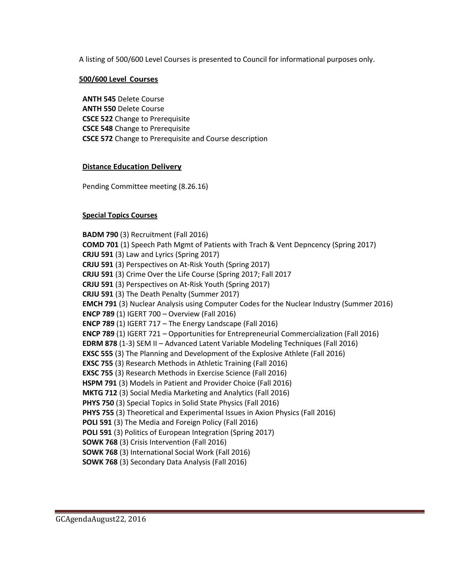A listing of 500/600 Level Courses is presented to Council for informational purposes only.

# **500/600 Level Courses**

**ANTH 545** Delete Course **ANTH 550** Delete Course **CSCE 522** Change to Prerequisite **CSCE 548** Change to Prerequisite **CSCE 572** Change to Prerequisite and Course description

## **Distance Education Delivery**

Pending Committee meeting (8.26.16)

# **Special Topics Courses**

**BADM 790** (3) Recruitment (Fall 2016) **COMD 701** (1) Speech Path Mgmt of Patients with Trach & Vent Depncency (Spring 2017) **CRJU 591** (3) Law and Lyrics (Spring 2017) **CRJU 591** (3) Perspectives on At-Risk Youth (Spring 2017) **CRJU 591** (3) Crime Over the Life Course (Spring 2017; Fall 2017 **CRJU 591** (3) Perspectives on At-Risk Youth (Spring 2017) **CRJU 591** (3) The Death Penalty (Summer 2017) **EMCH 791** (3) Nuclear Analysis using Computer Codes for the Nuclear Industry (Summer 2016) **ENCP 789** (1) IGERT 700 – Overview (Fall 2016) **ENCP 789** (1) IGERT 717 – The Energy Landscape (Fall 2016) **ENCP 789** (1) IGERT 721 – Opportunities for Entrepreneurial Commercialization (Fall 2016) **EDRM 878** (1-3) SEM II – Advanced Latent Variable Modeling Techniques (Fall 2016) **EXSC 555** (3) The Planning and Development of the Explosive Athlete (Fall 2016) **EXSC 755** (3) Research Methods in Athletic Training (Fall 2016) **EXSC 755** (3) Research Methods in Exercise Science (Fall 2016) **HSPM 791** (3) Models in Patient and Provider Choice (Fall 2016) **MKTG 712** (3) Social Media Marketing and Analytics (Fall 2016) **PHYS 750** (3) Special Topics in Solid State Physics (Fall 2016) **PHYS 755** (3) Theoretical and Experimental Issues in Axion Physics (Fall 2016) **POLI 591** (3) The Media and Foreign Policy (Fall 2016) **POLI 591** (3) Politics of European Integration (Spring 2017) **SOWK 768** (3) Crisis Intervention (Fall 2016) **SOWK 768** (3) International Social Work (Fall 2016) **SOWK 768** (3) Secondary Data Analysis (Fall 2016)